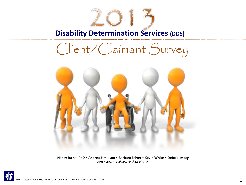**Disability Determination Services (DDS)** 

# Client/Claimant Survey



**Nancy Raiha, PhD** • **Andrea Jamieson** • **Barbara Felver** • **Kevin White** • **Debbie Macy** *DSHS Research and Data Analysis Division* 

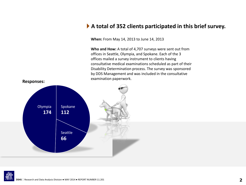### **A total of 352 clients participated in this brief survey.**

**When:** From May 14, 2013 to June 14, 2013

**Who and How:** A total of 4,707 surveys were sent out from offices in Seattle, Olympia, and Spokane. Each of the 3 offices mailed a survey instrument to clients having consultative medical examinations scheduled as part of their Disability Determination process. The survey was sponsored by DDS Management and was included in the consultative



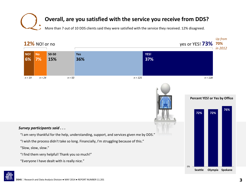# **Overall, are you satisfied with the service you receive from DDS?**<br>More than 7 out of 10 DDS clients said they were satisfied with the service they received. 12% disagreed.

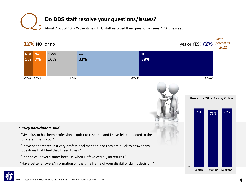

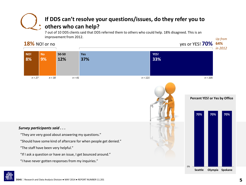### **If DDS can't resolve your questions/issues, do they refer you to others who can help?** 7 out of 10 DDS clients said that DDS referred them to others who could help. 18% disagreed. This is an Q.

improvement from 2012.

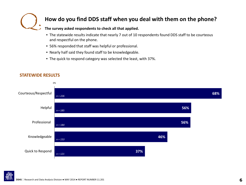

# **How do you find DDS staff when you deal with them on the phone?**

#### **The survey asked respondents to check all that applied.**

- The statewide results indicate that nearly 7 out of 10 respondents found DDS staff to be courteous and respectful on the phone.
- 56% responded that staff was helpful or professional.
- Nearly half said they found staff to be knowledgeable.
- The quick to respond category was selected the least, with 37%.



#### **STATEWIDE RESULTS**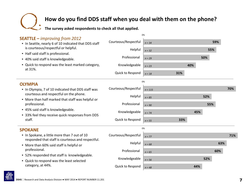# **How do you find DDS staff when you deal with them on the phone?**<br>The survey asked respondents to check all that applied.



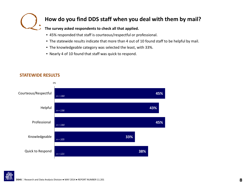

## **How do you find DDS staff when you deal with them by mail?**

#### **The survey asked respondents to check all that applied.**

- 45% responded that staff is courteous/respectful or professional.
- The statewide results indicate that more than 4 out of 10 found staff to be helpful by mail.
- The knowledgeable category was selected the least, with 33%.
- Nearly 4 of 10 found that staff was quick to respond.



### **STATEWIDE RESULTS**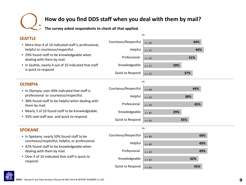# **How do you find DDS staff when you deal with them by mail?**<br>The survey asked respondents to check all that applied.

| Courteous/Respectful<br>44%<br>$n = 26$<br>• More than 4 of 10 indicated staff is professional,<br>helpful or courteous/respectful.<br>Helpful<br>46%<br>$n = 27$<br>• 29% found staff to be knowledgeable when<br>Professional<br>41%<br>$n = 24$<br>dealing with them by mail.<br>• In Seattle, nearly 4 out of 10 indicated that staff<br>Knowledgeable<br>29%<br>$n = 17$<br>is quick to respond.<br>Quick to Respond<br>37%<br>$n = 22$<br>0%<br><b>OLYMPIA</b><br>Courteous/Respectful<br>44%<br>$n = 68$<br>• In Olympia, over 40% indicated that staff is<br>professional or courteous/respectful.<br>Helpful<br>38%<br>$n = 59$<br>• 38% found staff to be helpful when dealing with<br>Professional<br>45%<br>them by mail.<br>$n = 70$<br>• Nearly 3 of 10 found staff to be knowledgeable.<br>Knowledgeable<br>29%<br>$n = 45$<br>• 35% said staff was and quick to respond.<br>Quick to Respond<br>35%<br>$n = 54$<br>0%<br><b>SPOKANE</b><br>Courteous/Respectful<br>49%<br>• In Spokane, nearly 50% found staff to be<br>$n = 49$<br>courteous/respectful, helpful, or professional.<br>Helpful<br>49%<br>$n = 49$<br>• 42% found staff to be knowledgeable when<br>Professional<br>dealing with them by mail.<br>49%<br>$n = 49$<br>• Over 4 of 10 indicated that staff is quick to<br>Knowledgeable<br>42%<br>$n = 42$<br>respond.<br>Quick to Respond<br>45%<br>$n = 45$ |                |  | 0% |  |  |
|--------------------------------------------------------------------------------------------------------------------------------------------------------------------------------------------------------------------------------------------------------------------------------------------------------------------------------------------------------------------------------------------------------------------------------------------------------------------------------------------------------------------------------------------------------------------------------------------------------------------------------------------------------------------------------------------------------------------------------------------------------------------------------------------------------------------------------------------------------------------------------------------------------------------------------------------------------------------------------------------------------------------------------------------------------------------------------------------------------------------------------------------------------------------------------------------------------------------------------------------------------------------------------------------------------------------------------------------------------------------------------------------|----------------|--|----|--|--|
|                                                                                                                                                                                                                                                                                                                                                                                                                                                                                                                                                                                                                                                                                                                                                                                                                                                                                                                                                                                                                                                                                                                                                                                                                                                                                                                                                                                            | <b>SEATTLE</b> |  |    |  |  |
|                                                                                                                                                                                                                                                                                                                                                                                                                                                                                                                                                                                                                                                                                                                                                                                                                                                                                                                                                                                                                                                                                                                                                                                                                                                                                                                                                                                            |                |  |    |  |  |
|                                                                                                                                                                                                                                                                                                                                                                                                                                                                                                                                                                                                                                                                                                                                                                                                                                                                                                                                                                                                                                                                                                                                                                                                                                                                                                                                                                                            |                |  |    |  |  |
|                                                                                                                                                                                                                                                                                                                                                                                                                                                                                                                                                                                                                                                                                                                                                                                                                                                                                                                                                                                                                                                                                                                                                                                                                                                                                                                                                                                            |                |  |    |  |  |
|                                                                                                                                                                                                                                                                                                                                                                                                                                                                                                                                                                                                                                                                                                                                                                                                                                                                                                                                                                                                                                                                                                                                                                                                                                                                                                                                                                                            |                |  |    |  |  |
|                                                                                                                                                                                                                                                                                                                                                                                                                                                                                                                                                                                                                                                                                                                                                                                                                                                                                                                                                                                                                                                                                                                                                                                                                                                                                                                                                                                            |                |  |    |  |  |
|                                                                                                                                                                                                                                                                                                                                                                                                                                                                                                                                                                                                                                                                                                                                                                                                                                                                                                                                                                                                                                                                                                                                                                                                                                                                                                                                                                                            |                |  |    |  |  |
|                                                                                                                                                                                                                                                                                                                                                                                                                                                                                                                                                                                                                                                                                                                                                                                                                                                                                                                                                                                                                                                                                                                                                                                                                                                                                                                                                                                            |                |  |    |  |  |
|                                                                                                                                                                                                                                                                                                                                                                                                                                                                                                                                                                                                                                                                                                                                                                                                                                                                                                                                                                                                                                                                                                                                                                                                                                                                                                                                                                                            |                |  |    |  |  |
|                                                                                                                                                                                                                                                                                                                                                                                                                                                                                                                                                                                                                                                                                                                                                                                                                                                                                                                                                                                                                                                                                                                                                                                                                                                                                                                                                                                            |                |  |    |  |  |
|                                                                                                                                                                                                                                                                                                                                                                                                                                                                                                                                                                                                                                                                                                                                                                                                                                                                                                                                                                                                                                                                                                                                                                                                                                                                                                                                                                                            |                |  |    |  |  |
|                                                                                                                                                                                                                                                                                                                                                                                                                                                                                                                                                                                                                                                                                                                                                                                                                                                                                                                                                                                                                                                                                                                                                                                                                                                                                                                                                                                            |                |  |    |  |  |
|                                                                                                                                                                                                                                                                                                                                                                                                                                                                                                                                                                                                                                                                                                                                                                                                                                                                                                                                                                                                                                                                                                                                                                                                                                                                                                                                                                                            |                |  |    |  |  |
|                                                                                                                                                                                                                                                                                                                                                                                                                                                                                                                                                                                                                                                                                                                                                                                                                                                                                                                                                                                                                                                                                                                                                                                                                                                                                                                                                                                            |                |  |    |  |  |
|                                                                                                                                                                                                                                                                                                                                                                                                                                                                                                                                                                                                                                                                                                                                                                                                                                                                                                                                                                                                                                                                                                                                                                                                                                                                                                                                                                                            |                |  |    |  |  |
|                                                                                                                                                                                                                                                                                                                                                                                                                                                                                                                                                                                                                                                                                                                                                                                                                                                                                                                                                                                                                                                                                                                                                                                                                                                                                                                                                                                            |                |  |    |  |  |
|                                                                                                                                                                                                                                                                                                                                                                                                                                                                                                                                                                                                                                                                                                                                                                                                                                                                                                                                                                                                                                                                                                                                                                                                                                                                                                                                                                                            |                |  |    |  |  |
|                                                                                                                                                                                                                                                                                                                                                                                                                                                                                                                                                                                                                                                                                                                                                                                                                                                                                                                                                                                                                                                                                                                                                                                                                                                                                                                                                                                            |                |  |    |  |  |
|                                                                                                                                                                                                                                                                                                                                                                                                                                                                                                                                                                                                                                                                                                                                                                                                                                                                                                                                                                                                                                                                                                                                                                                                                                                                                                                                                                                            |                |  |    |  |  |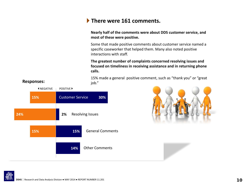## **There were 161 comments.**

#### **Nearly half of the comments were about DDS customer service, and most of these were positive.**

Some that made positive comments about customer service named a specific caseworker that helped them. Many also noted positive interactions with staff.

**The greatest number of complaints concerned resolving issues and focused on timeliness in receiving assistance and in returning phone calls.**

15% made a general positive comment, such as "thank you" or "great job."





**Responses:**